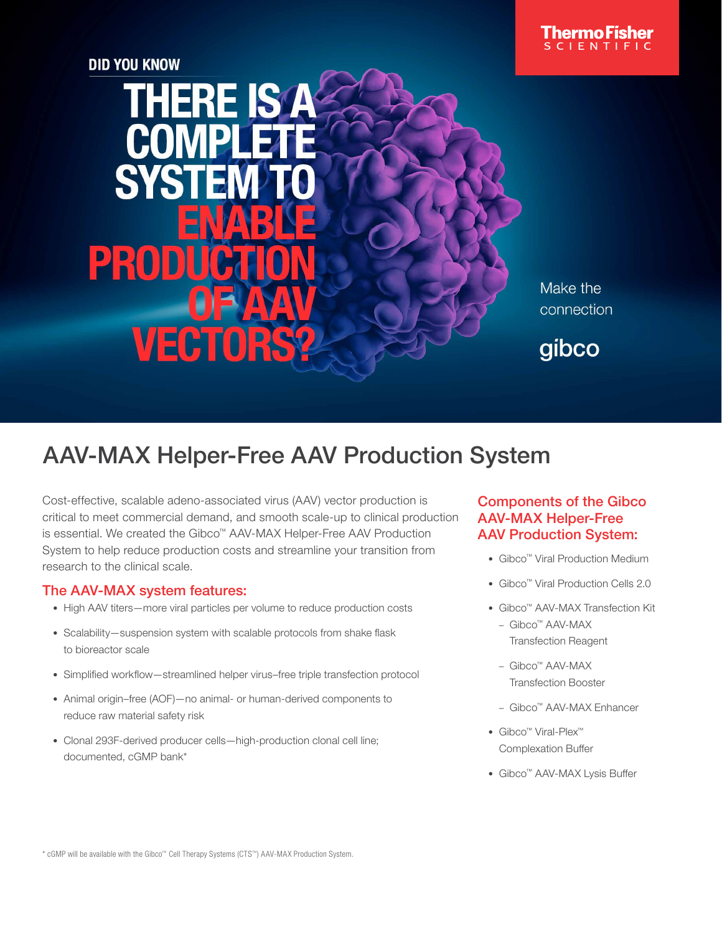

**DID YOU KNOW** 

# **THERE IS SYS** PROD VECT 12

Make the connection

gibco

# AAV-MAX Helper-Free AAV Production System

Cost-effective, scalable adeno-associated virus (AAV) vector production is critical to meet commercial demand, and smooth scale-up to clinical production is essential. We created the Gibco™ AAV-MAX Helper-Free AAV Production System to help reduce production costs and streamline your transition from research to the clinical scale.

## The AAV-MAX system features:

- High AAV titers—more viral particles per volume to reduce production costs
- Scalability—suspension system with scalable protocols from shake flask to bioreactor scale
- Simplified workflow—streamlined helper virus–free triple transfection protocol
- Animal origin–free (AOF)—no animal- or human-derived components to reduce raw material safety risk
- Clonal 293F-derived producer cells—high-production clonal cell line; documented, cGMP bank\*

# Components of the Gibco AAV-MAX Helper-Free AAV Production System:

- Gibco™ Viral Production Medium
- Gibco™ Viral Production Cells 2.0
- Gibco™ AAV-MAX Transfection Kit
	- Gibco™ AAV-MAX Transfection Reagent
	- Gibco™ AAV-MAX Transfection Booster
	- Gibco™ AAV-MAX Enhancer
- Gibco™ Viral-Plex™ Complexation Buffer
- Gibco™ AAV-MAX Lysis Buffer

\* cGMP will be available with the Gibco™ Cell Therapy Systems (CTS™) AAV-MAX Production System.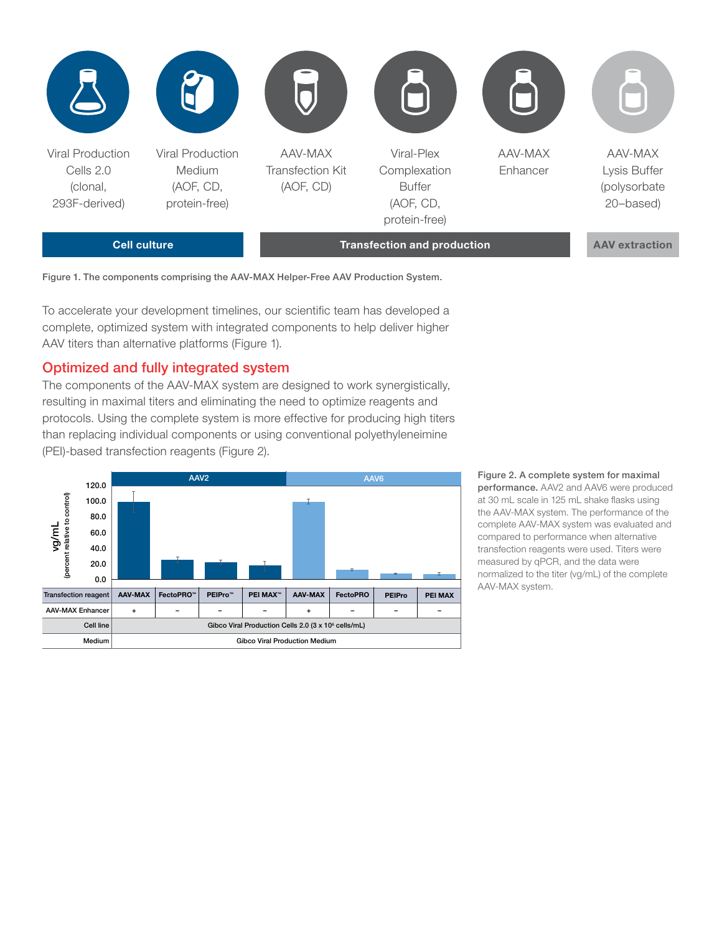

Figure 1. The components comprising the AAV-MAX Helper-Free AAV Production System.

To accelerate your development timelines, our scientific team has developed a complete, optimized system with integrated components to help deliver higher AAV titers than alternative platforms (Figure 1).

#### Optimized and fully integrated system

The components of the AAV-MAX system are designed to work synergistically, resulting in maximal titers and eliminating the need to optimize reagents and protocols. Using the complete system is more effective for producing high titers than replacing individual components or using conventional polyethyleneimine (PEI)-based transfection reagents (Figure 2).



Figure 2. A complete system for maximal performance. AAV2 and AAV6 were produced at 30 mL scale in 125 mL shake flasks using the AAV-MAX system. The performance of the complete AAV-MAX system was evaluated and compared to performance when alternative transfection reagents were used. Titers were measured by qPCR, and the data were normalized to the titer (vg/mL) of the complete AAV-MAX system.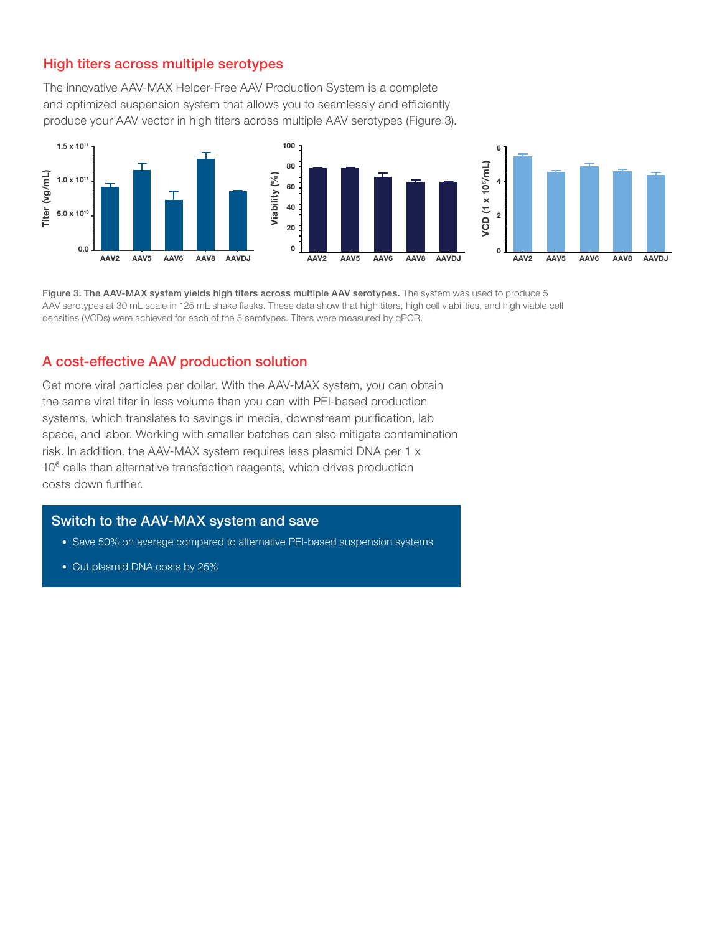#### High titers across multiple serotypes

The innovative AAV-MAX Helper-Free AAV Production System is a complete and optimized suspension system that allows you to seamlessly and efficiently produce your AAV vector in high titers across multiple AAV serotypes (Figure 3).



Figure 3. The AAV-MAX system yields high titers across multiple AAV serotypes. The system was used to produce 5 AAV serotypes at 30 mL scale in 125 mL shake flasks. These data show that high titers, high cell viabilities, and high viable cell densities (VCDs) were achieved for each of the 5 serotypes. Titers were measured by qPCR.

#### A cost-effective AAV production solution

Get more viral particles per dollar. With the AAV-MAX system, you can obtain the same viral titer in less volume than you can with PEI-based production systems, which translates to savings in media, downstream purification, lab space, and labor. Working with smaller batches can also mitigate contamination risk. In addition, the AAV-MAX system requires less plasmid DNA per 1 x 10<sup>6</sup> cells than alternative transfection reagents, which drives production costs down further.

#### Switch to the AAV-MAX system and save

- Save 50% on average compared to alternative PEI-based suspension systems
- Cut plasmid DNA costs by 25%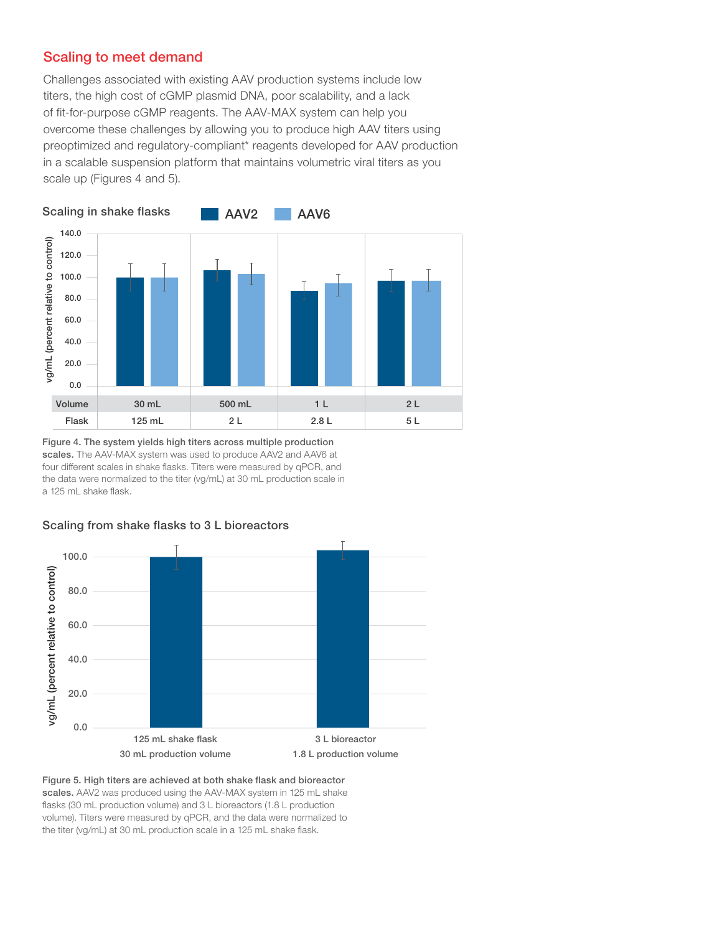## Scaling to meet demand

Challenges associated with existing AAV production systems include low titers, the high cost of cGMP plasmid DNA, poor scalability, and a lack of fit-for-purpose cGMP reagents. The AAV-MAX system can help you overcome these challenges by allowing you to produce high AAV titers using preoptimized and regulatory-compliant\* reagents developed for AAV production in a scalable suspension platform that maintains volumetric viral titers as you scale up (Figures 4 and 5).



Figure 4. The system yields high titers across multiple production scales. The AAV-MAX system was used to produce AAV2 and AAV6 at four different scales in shake flasks. Titers were measured by qPCR, and the data were normalized to the titer (vg/mL) at 30 mL production scale in a 125 mL shake flask.



#### Scaling from shake flasks to 3 L bioreactors

Figure 5. High titers are achieved at both shake flask and bioreactor scales. AAV2 was produced using the AAV-MAX system in 125 mL shake flasks (30 mL production volume) and 3 L bioreactors (1.8 L production volume). Titers were measured by qPCR, and the data were normalized to the titer (vg/mL) at 30 mL production scale in a 125 mL shake flask.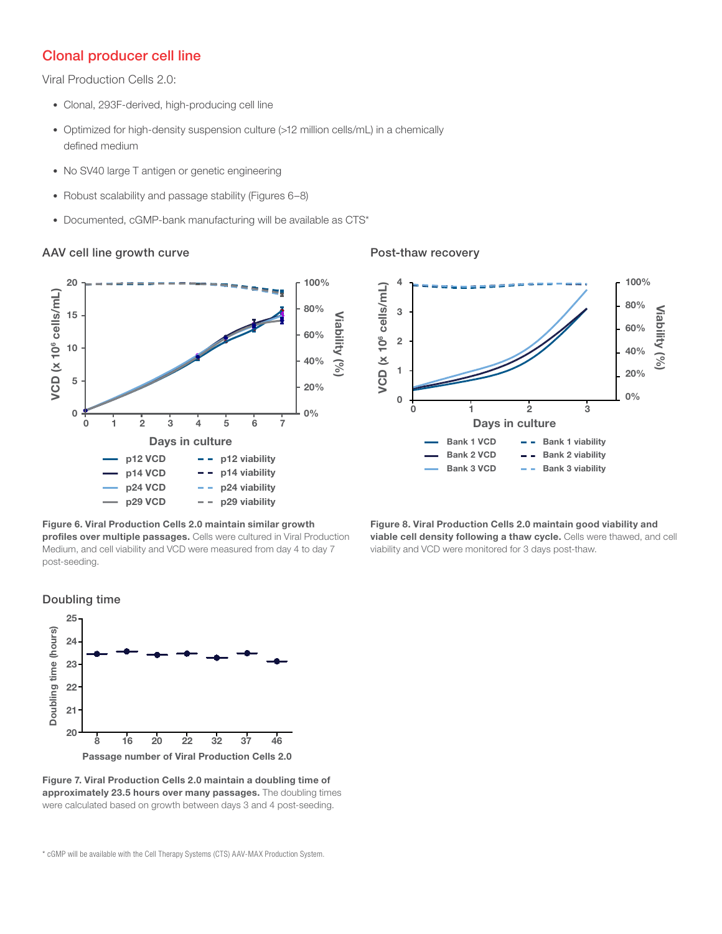#### Clonal producer cell line

Viral Production Cells 2.0:

- Clonal, 293F-derived, high-producing cell line
- Optimized for high-density suspension culture (>12 million cells/mL) in a chemically defined medium
- No SV40 large T antigen or genetic engineering
- Robust scalability and passage stability (Figures 6–8)
- Documented, cGMP-bank manufacturing will be available as CTS\*

#### AAV cell line growth curve



# Figure 6. Viral Production Cells 2.0 maintain similar growth

profiles over multiple passages. Cells were cultured in Viral Production Medium, and cell viability and VCD were measured from day 4 to day 7 post-seeding.



Post-thaw recovery





Figure 7. Viral Production Cells 2.0 maintain a doubling time of approximately 23.5 hours over many passages. The doubling times were calculated based on growth between days 3 and 4 post-seeding.

\* cGMP will be available with the Cell Therapy Systems (CTS) AAV-MAX Production System.